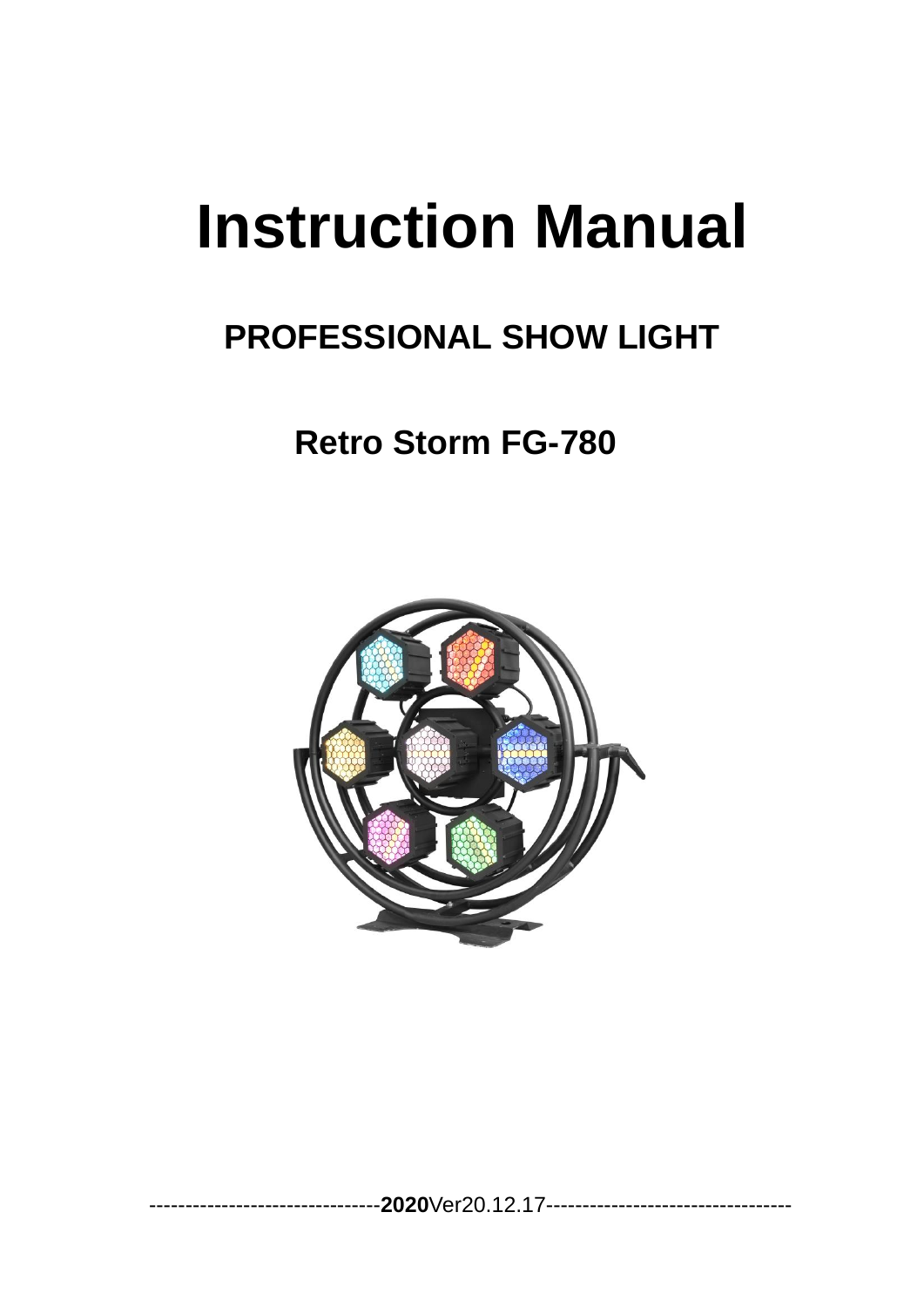# **Instruction Manual**

# **PROFESSIONAL SHOW LIGHT**

# **Retro Storm FG-780**



--------------------------------**2020**Ver20.12.17----------------------------------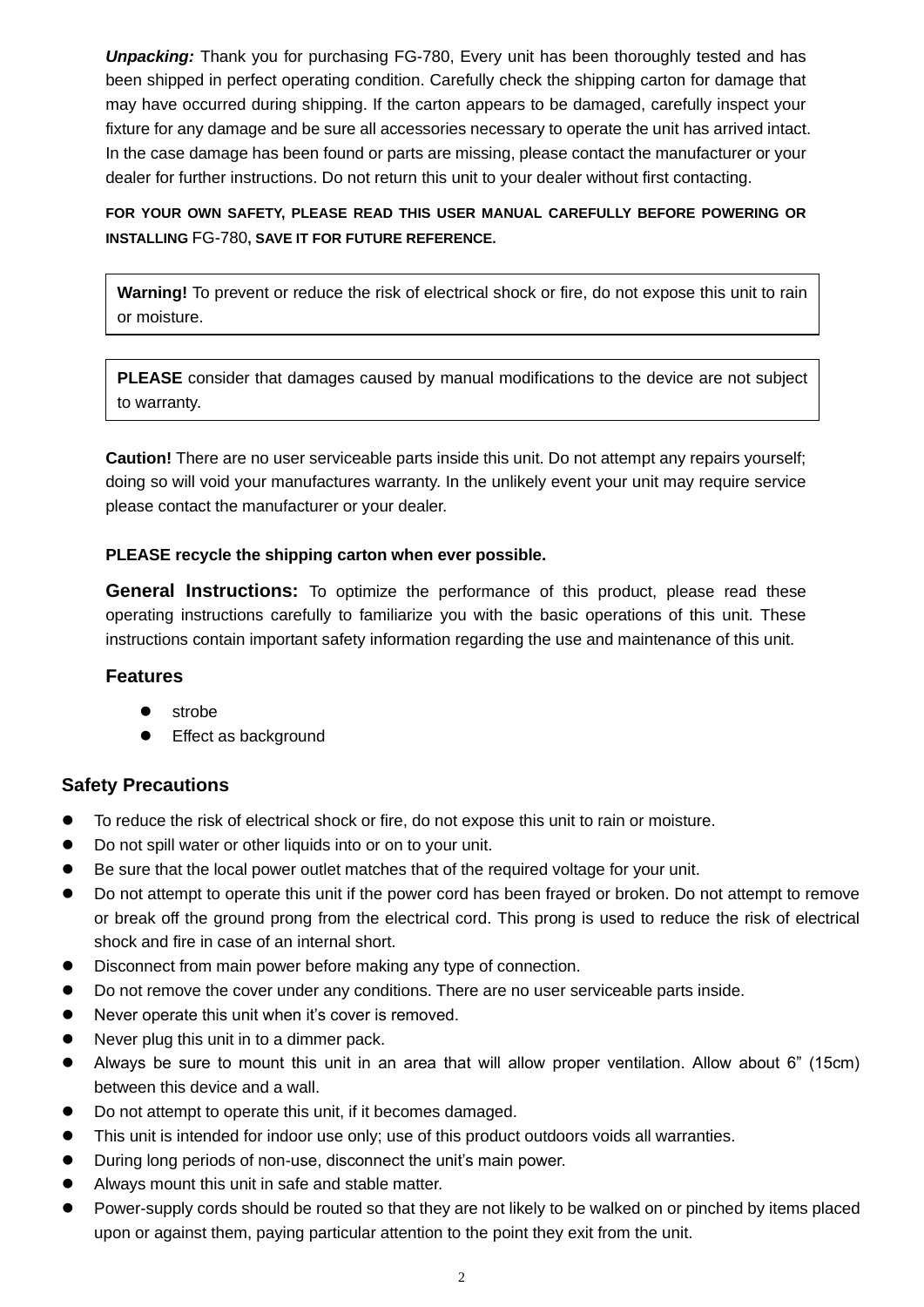*Unpacking:* Thank you for purchasing FG-780, Every unit has been thoroughly tested and has been shipped in perfect operating condition. Carefully check the shipping carton for damage that may have occurred during shipping. If the carton appears to be damaged, carefully inspect your fixture for any damage and be sure all accessories necessary to operate the unit has arrived intact. In the case damage has been found or parts are missing, please contact the manufacturer or your dealer for further instructions. Do not return this unit to your dealer without first contacting.

# **FOR YOUR OWN SAFETY, PLEASE READ THIS USER MANUAL CAREFULLY BEFORE POWERING OR INSTALLING** FG-780**, SAVE IT FOR FUTURE REFERENCE.**

**Warning!** To prevent or reduce the risk of electrical shock or fire, do not expose this unit to rain or moisture.

**PLEASE** consider that damages caused by manual modifications to the device are not subject to warranty.

**Caution!** There are no user serviceable parts inside this unit. Do not attempt any repairs yourself; doing so will void your manufactures warranty. In the unlikely event your unit may require service please contact the manufacturer or your dealer.

#### **PLEASE recycle the shipping carton when ever possible.**

**General Instructions:** To optimize the performance of this product, please read these operating instructions carefully to familiarize you with the basic operations of this unit. These instructions contain important safety information regarding the use and maintenance of this unit.

# **Features**

- strobe
- ⚫ Effect as background

# **Safety Precautions**

- To reduce the risk of electrical shock or fire, do not expose this unit to rain or moisture.
- Do not spill water or other liquids into or on to your unit.
- Be sure that the local power outlet matches that of the required voltage for your unit.
- Do not attempt to operate this unit if the power cord has been frayed or broken. Do not attempt to remove or break off the ground prong from the electrical cord. This prong is used to reduce the risk of electrical shock and fire in case of an internal short.
- ⚫ Disconnect from main power before making any type of connection.
- Do not remove the cover under any conditions. There are no user serviceable parts inside.
- Never operate this unit when it's cover is removed.
- Never plug this unit in to a dimmer pack.
- ⚫ Always be sure to mount this unit in an area that will allow proper ventilation. Allow about 6" (15cm) between this device and a wall.
- Do not attempt to operate this unit, if it becomes damaged.
- This unit is intended for indoor use only; use of this product outdoors voids all warranties.
- ⚫ During long periods of non-use, disconnect the unit's main power.
- ⚫ Always mount this unit in safe and stable matter.
- Power-supply cords should be routed so that they are not likely to be walked on or pinched by items placed upon or against them, paying particular attention to the point they exit from the unit.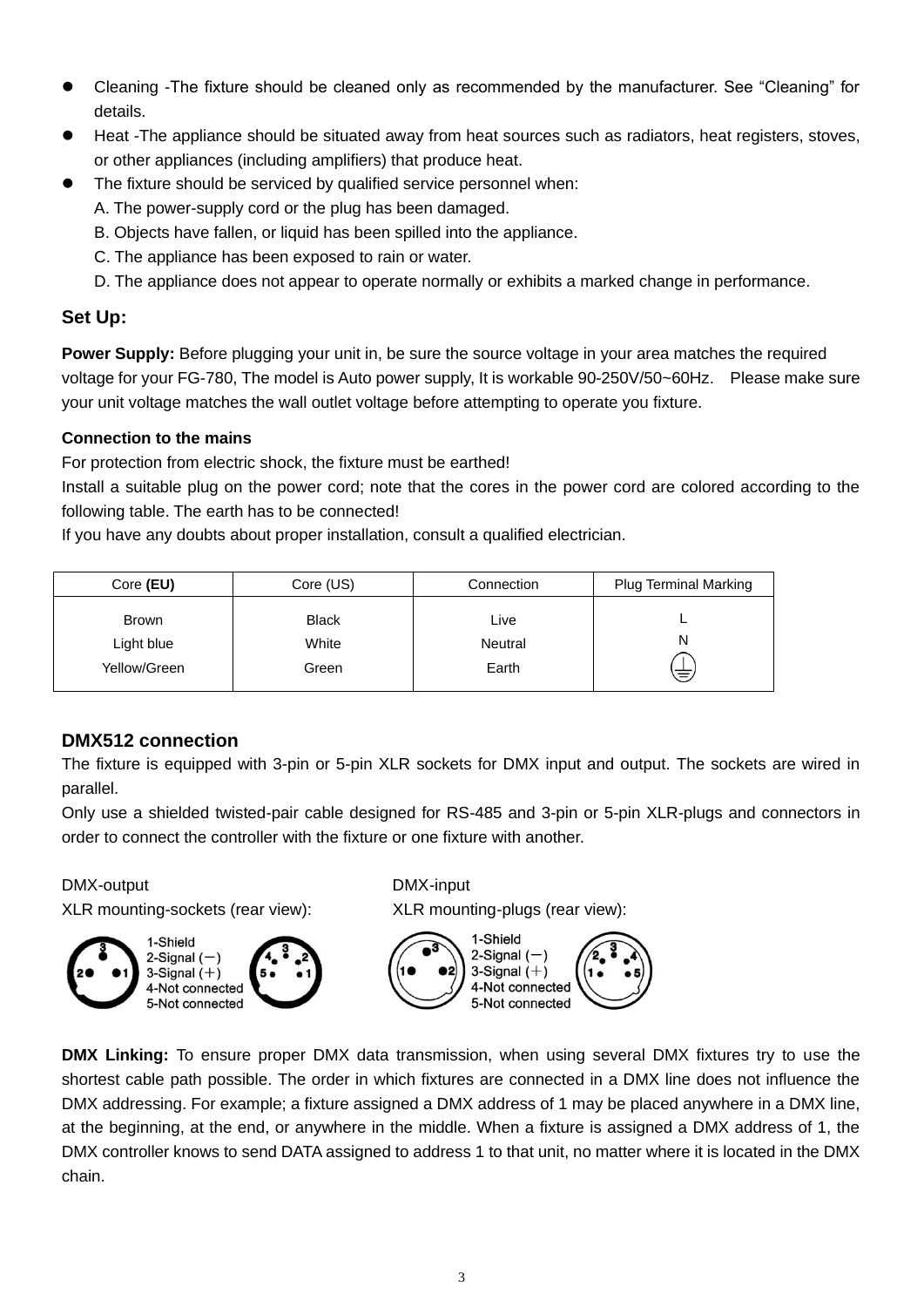- Cleaning -The fixture should be cleaned only as recommended by the manufacturer. See "Cleaning" for details.
- Heat -The appliance should be situated away from heat sources such as radiators, heat registers, stoves, or other appliances (including amplifiers) that produce heat.
- The fixture should be serviced by qualified service personnel when:
	- A. The power-supply cord or the plug has been damaged.
	- B. Objects have fallen, or liquid has been spilled into the appliance.
	- C. The appliance has been exposed to rain or water.
	- D. The appliance does not appear to operate normally or exhibits a marked change in performance.

# **Set Up:**

**Power Supply:** Before plugging your unit in, be sure the source voltage in your area matches the required voltage for your FG-780, The model is Auto power supply, It is workable 90-250V/50~60Hz. Please make sure your unit voltage matches the wall outlet voltage before attempting to operate you fixture.

# **Connection to the mains**

For protection from electric shock, the fixture must be earthed!

Install a suitable plug on the power cord; note that the cores in the power cord are colored according to the following table. The earth has to be connected!

If you have any doubts about proper installation, consult a qualified electrician.

| Core (EU)                                  | Core (US)                      | Connection               | <b>Plug Terminal Marking</b> |
|--------------------------------------------|--------------------------------|--------------------------|------------------------------|
| <b>Brown</b><br>Light blue<br>Yellow/Green | <b>Black</b><br>White<br>Green | Live<br>Neutral<br>Earth | N<br>ミ                       |

# **DMX512 connection**

The fixture is equipped with 3-pin or 5-pin XLR sockets for DMX input and output. The sockets are wired in parallel.

Only use a shielded twisted-pair cable designed for RS-485 and 3-pin or 5-pin XLR-plugs and connectors in order to connect the controller with the fixture or one fixture with another.

#### DMX-output DMX-input

XLR mounting-sockets (rear view): XLR mounting-plugs (rear view):

2-Signal  $(-)$ 3-Signal  $(+)$ 

4-Not connected

5-Not connected

1-Shield



**DMX Linking:** To ensure proper DMX data transmission, when using several DMX fixtures try to use the shortest cable path possible. The order in which fixtures are connected in a DMX line does not influence the DMX addressing. For example; a fixture assigned a DMX address of 1 may be placed anywhere in a DMX line, at the beginning, at the end, or anywhere in the middle. When a fixture is assigned a DMX address of 1, the DMX controller knows to send DATA assigned to address 1 to that unit, no matter where it is located in the DMX chain.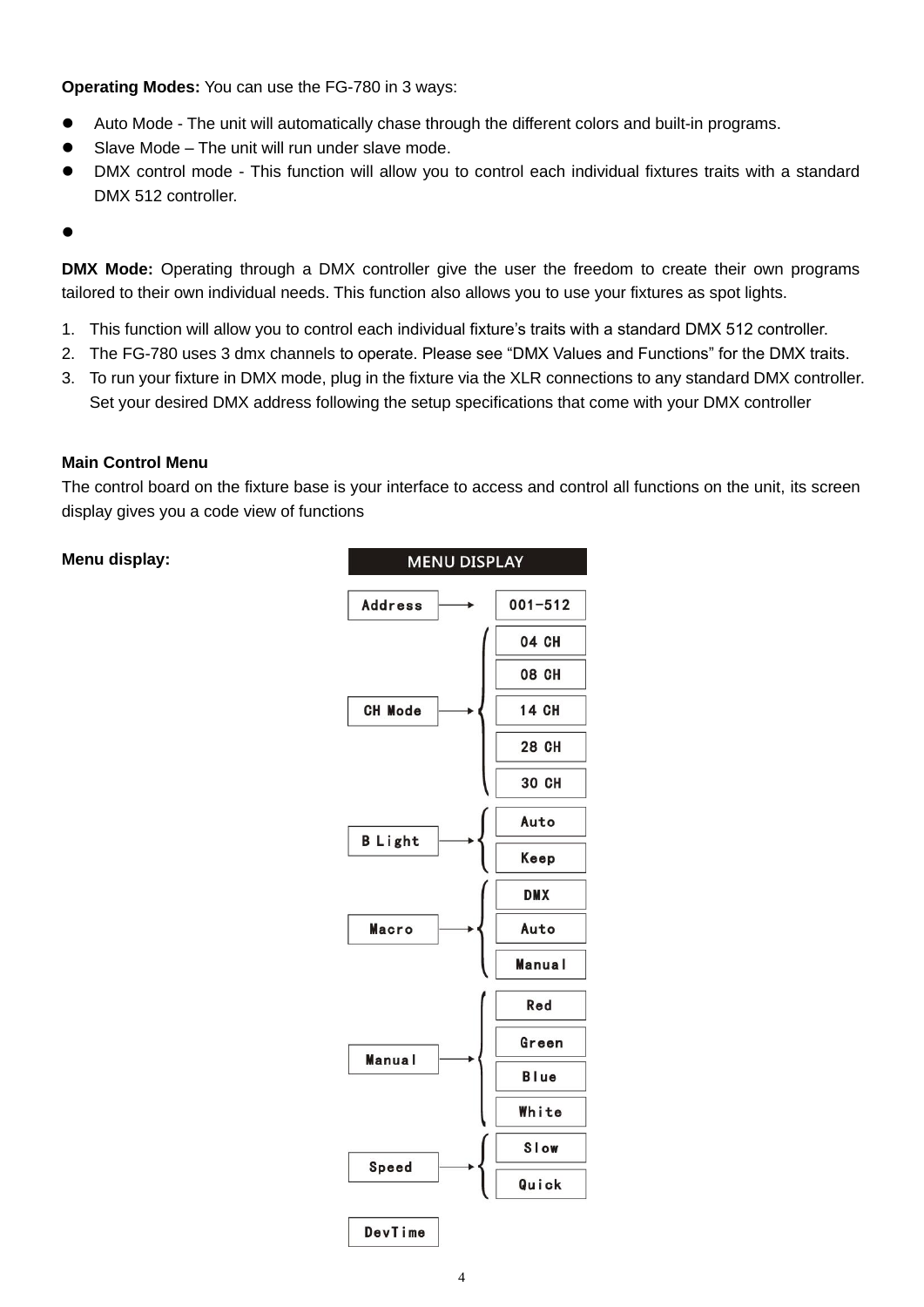**Operating Modes:** You can use the FG-780 in 3 ways:

- Auto Mode The unit will automatically chase through the different colors and built-in programs.
- Slave Mode The unit will run under slave mode.
- ⚫ DMX control mode This function will allow you to control each individual fixtures traits with a standard DMX 512 controller.
- $\bullet$

**DMX Mode:** Operating through a DMX controller give the user the freedom to create their own programs tailored to their own individual needs. This function also allows you to use your fixtures as spot lights.

- 1. This function will allow you to control each individual fixture's traits with a standard DMX 512 controller.
- 2. The FG-780 uses 3 dmx channels to operate. Please see "DMX Values and Functions" for the DMX traits.
- 3. To run your fixture in DMX mode, plug in the fixture via the XLR connections to any standard DMX controller. Set your desired DMX address following the setup specifications that come with your DMX controller

#### **Main Control Menu**

The control board on the fixture base is your interface to access and control all functions on the unit, its screen display gives you a code view of functions

#### **Menu display:**

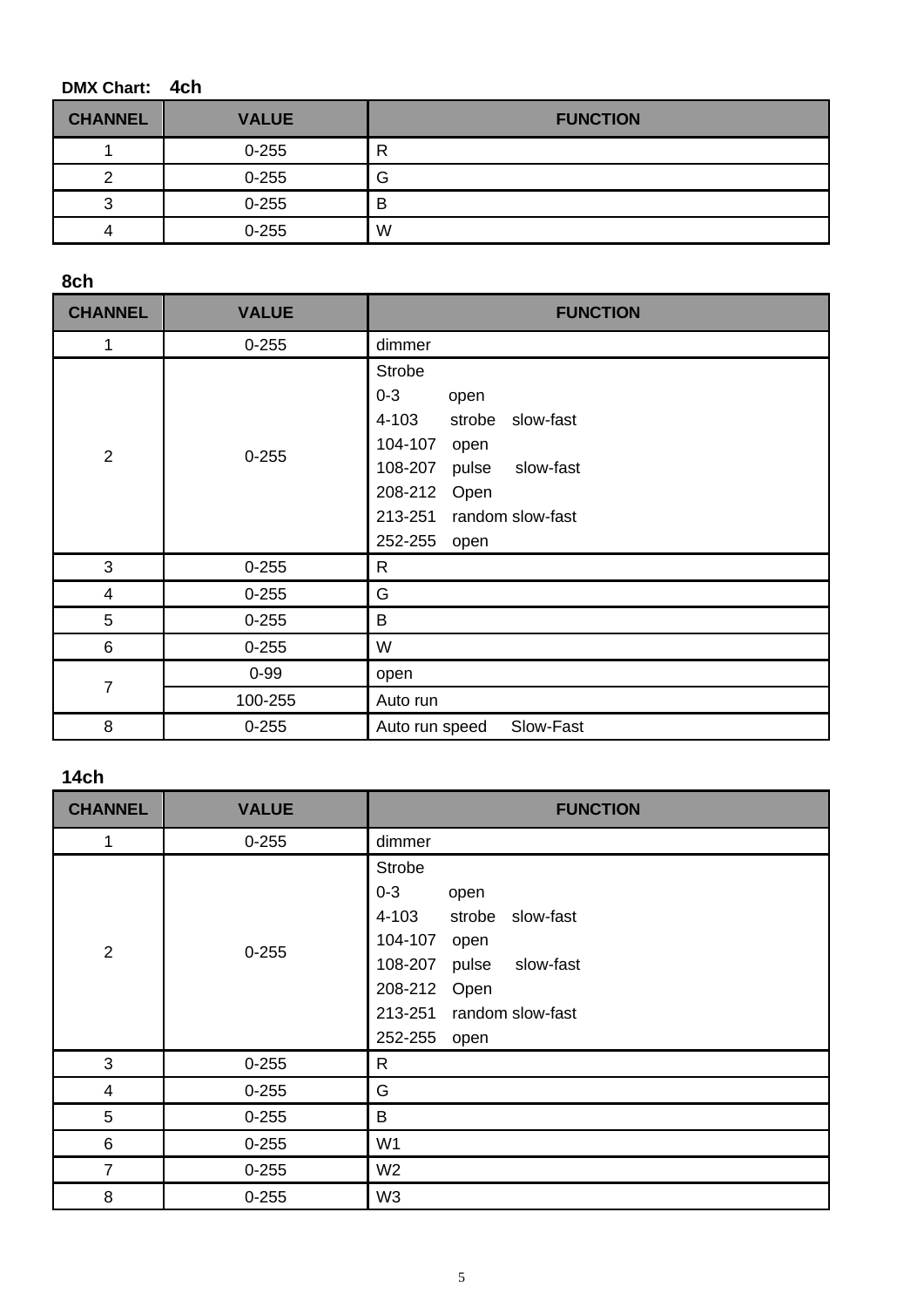# **DMX Chart: 4ch**

| <b>CHANNEL</b> | <b>VALUE</b> | <b>FUNCTION</b> |
|----------------|--------------|-----------------|
|                | $0 - 255$    | R               |
|                | $0 - 255$    | G               |
|                | $0 - 255$    | B               |
|                | $0 - 255$    | W               |

**8ch**

| <b>CHANNEL</b>          | <b>VALUE</b> | <b>FUNCTION</b>                                                                                                                                                                           |
|-------------------------|--------------|-------------------------------------------------------------------------------------------------------------------------------------------------------------------------------------------|
| 1                       | $0 - 255$    | dimmer                                                                                                                                                                                    |
| $\overline{2}$          | $0 - 255$    | <b>Strobe</b><br>$0 - 3$<br>open<br>4-103<br>strobe<br>slow-fast<br>104-107<br>open<br>slow-fast<br>108-207<br>pulse<br>208-212<br>Open<br>random slow-fast<br>213-251<br>252-255<br>open |
| 3                       | $0 - 255$    | R                                                                                                                                                                                         |
| $\overline{\mathbf{4}}$ | $0 - 255$    | G                                                                                                                                                                                         |
| 5                       | $0 - 255$    | B                                                                                                                                                                                         |
| 6                       | $0 - 255$    | W                                                                                                                                                                                         |
| $\overline{7}$          | $0 - 99$     | open                                                                                                                                                                                      |
|                         | 100-255      | Auto run                                                                                                                                                                                  |
| 8                       | $0 - 255$    | Slow-Fast<br>Auto run speed                                                                                                                                                               |

# **14ch**

| <b>CHANNEL</b> | <b>VALUE</b> | <b>FUNCTION</b>                                                                                                                                                                        |
|----------------|--------------|----------------------------------------------------------------------------------------------------------------------------------------------------------------------------------------|
| 1              | $0 - 255$    | dimmer                                                                                                                                                                                 |
| $\overline{2}$ | $0 - 255$    | <b>Strobe</b><br>$0 - 3$<br>open<br>slow-fast<br>4-103<br>strobe<br>104-107<br>open<br>slow-fast<br>108-207<br>pulse<br>208-212<br>Open<br>213-251 random slow-fast<br>252-255<br>open |
| 3              | $0 - 255$    | $\mathsf{R}$                                                                                                                                                                           |
| $\overline{4}$ | $0 - 255$    | G                                                                                                                                                                                      |
| $\overline{5}$ | $0 - 255$    | B                                                                                                                                                                                      |
| $\,6\,$        | $0 - 255$    | W <sub>1</sub>                                                                                                                                                                         |
| $\overline{7}$ | $0 - 255$    | W <sub>2</sub>                                                                                                                                                                         |
| 8              | $0 - 255$    | W <sub>3</sub>                                                                                                                                                                         |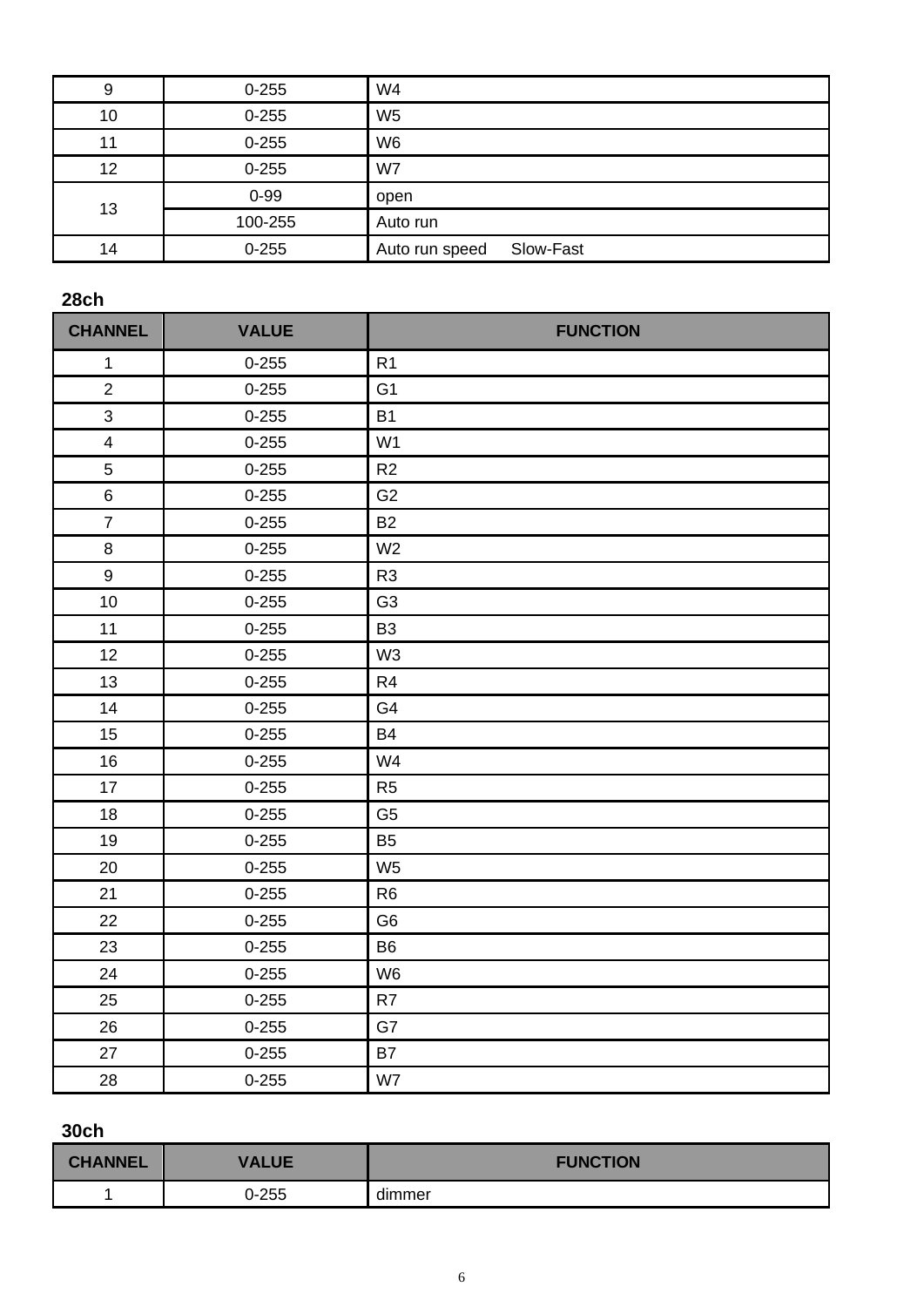| 9  | $0 - 255$ | W <sub>4</sub>              |
|----|-----------|-----------------------------|
| 10 | $0 - 255$ | W <sub>5</sub>              |
| 11 | $0 - 255$ | W <sub>6</sub>              |
| 12 | $0 - 255$ | W7                          |
| 13 | $0 - 99$  | open                        |
|    | 100-255   | Auto run                    |
| 14 | $0 - 255$ | Slow-Fast<br>Auto run speed |

# **28ch**

| <b>CHANNEL</b>          | <b>VALUE</b> | <b>FUNCTION</b> |
|-------------------------|--------------|-----------------|
| $\mathbf{1}$            | $0 - 255$    | R <sub>1</sub>  |
| $\overline{2}$          | $0 - 255$    | G <sub>1</sub>  |
| 3                       | $0 - 255$    | <b>B1</b>       |
| $\overline{\mathbf{4}}$ | $0 - 255$    | W <sub>1</sub>  |
| 5                       | $0 - 255$    | R <sub>2</sub>  |
| 6                       | $0 - 255$    | G <sub>2</sub>  |
| $\overline{7}$          | $0 - 255$    | <b>B2</b>       |
| $\bf 8$                 | $0 - 255$    | W <sub>2</sub>  |
| $\boldsymbol{9}$        | $0 - 255$    | R <sub>3</sub>  |
| 10                      | $0 - 255$    | G <sub>3</sub>  |
| 11                      | $0 - 255$    | B <sub>3</sub>  |
| 12                      | $0 - 255$    | W <sub>3</sub>  |
| 13                      | $0 - 255$    | R <sub>4</sub>  |
| 14                      | $0 - 255$    | G4              |
| 15                      | $0 - 255$    | <b>B4</b>       |
| 16                      | $0 - 255$    | W4              |
| 17                      | $0 - 255$    | R <sub>5</sub>  |
| 18                      | $0 - 255$    | G <sub>5</sub>  |
| 19                      | $0 - 255$    | B <sub>5</sub>  |
| 20                      | $0 - 255$    | W <sub>5</sub>  |
| 21                      | $0 - 255$    | R <sub>6</sub>  |
| 22                      | $0 - 255$    | G <sub>6</sub>  |
| 23                      | $0 - 255$    | <b>B6</b>       |
| 24                      | $0 - 255$    | W <sub>6</sub>  |
| 25                      | $0 - 255$    | R7              |
| 26                      | $0 - 255$    | G7              |
| 27                      | $0 - 255$    | <b>B7</b>       |
| 28                      | $0 - 255$    | W7              |

# **30ch**

| <b>CHANNEL</b> | <b>VALUE</b> | <b>FUNCTION</b> |
|----------------|--------------|-----------------|
|                | 0-255        | dimmer          |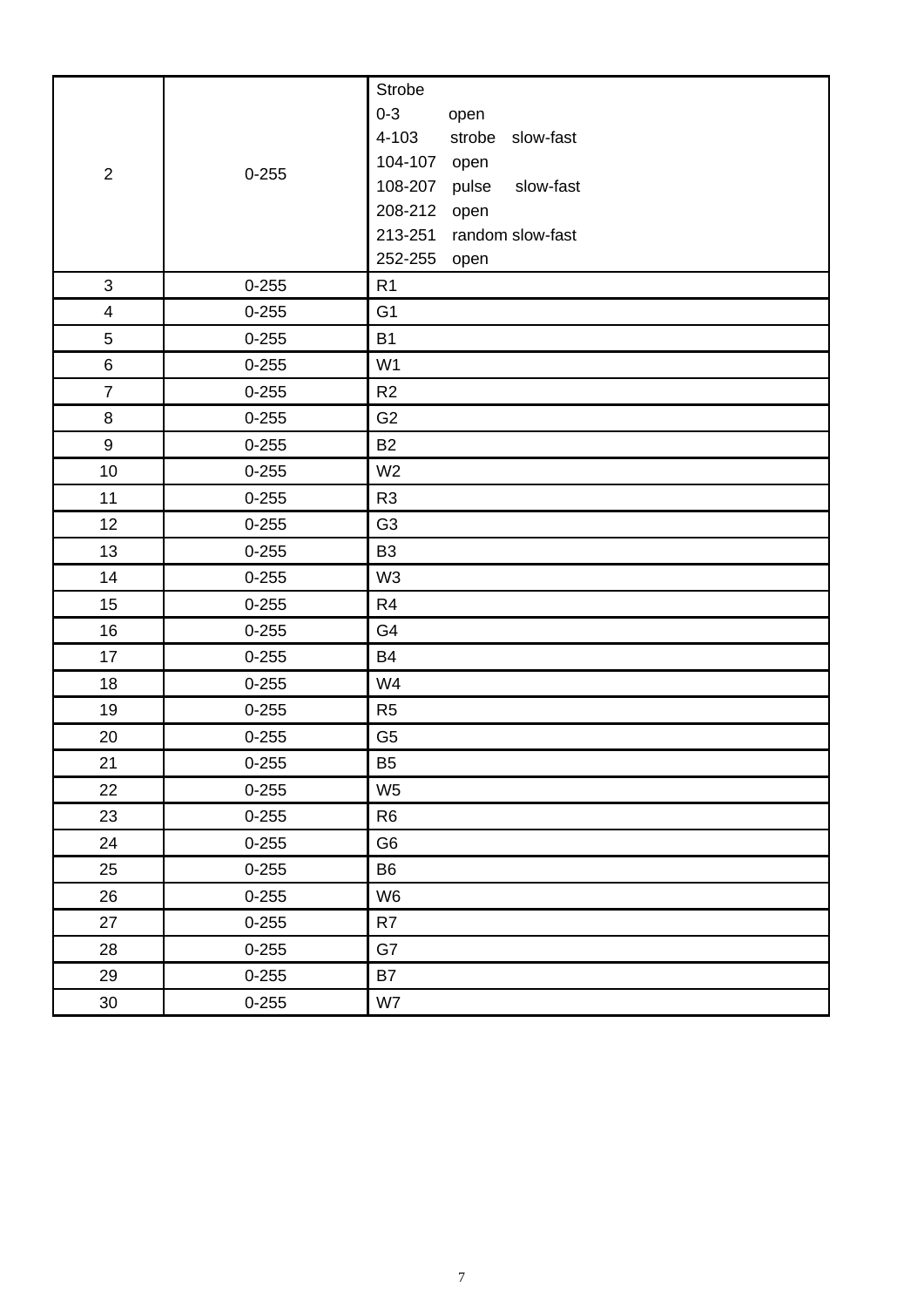|                         |           | Strobe                        |
|-------------------------|-----------|-------------------------------|
| $\overline{2}$          |           | $0 - 3$<br>open               |
|                         |           | 4-103<br>strobe slow-fast     |
|                         | $0 - 255$ | 104-107 open                  |
|                         |           | 108-207<br>pulse<br>slow-fast |
|                         |           | 208-212 open                  |
|                         |           | 213-251 random slow-fast      |
|                         |           | 252-255 open                  |
| $\mathfrak{S}$          | $0 - 255$ | R <sub>1</sub>                |
| $\overline{\mathbf{4}}$ | $0 - 255$ | G <sub>1</sub>                |
| 5                       | $0 - 255$ | <b>B1</b>                     |
| $\,6\,$                 | $0 - 255$ | W <sub>1</sub>                |
| $\overline{7}$          | $0 - 255$ | R2                            |
| $\,8\,$                 | $0 - 255$ | G <sub>2</sub>                |
| $\boldsymbol{9}$        | $0 - 255$ | <b>B2</b>                     |
| 10                      | $0 - 255$ | W <sub>2</sub>                |
| 11                      | $0 - 255$ | R <sub>3</sub>                |
| 12                      | $0 - 255$ | G <sub>3</sub>                |
| 13                      | $0 - 255$ | B <sub>3</sub>                |
| 14                      | $0 - 255$ | W <sub>3</sub>                |
| 15                      | $0 - 255$ | R <sub>4</sub>                |
| 16                      | $0 - 255$ | G4                            |
| 17                      | $0 - 255$ | <b>B4</b>                     |
| 18                      | $0 - 255$ | W4                            |
| 19                      | $0 - 255$ | R <sub>5</sub>                |
| 20                      | $0 - 255$ | G <sub>5</sub>                |
| 21                      | $0 - 255$ | B <sub>5</sub>                |
| 22                      | $0 - 255$ | W <sub>5</sub>                |
| 23                      | $0 - 255$ | R <sub>6</sub>                |
| 24                      | $0 - 255$ | G <sub>6</sub>                |
| 25                      | $0 - 255$ | B <sub>6</sub>                |
| 26                      | $0 - 255$ | W <sub>6</sub>                |
| 27                      | $0 - 255$ | R7                            |
| 28                      | $0 - 255$ | G7                            |
| 29                      | $0 - 255$ | <b>B7</b>                     |
| 30                      | $0 - 255$ | W7                            |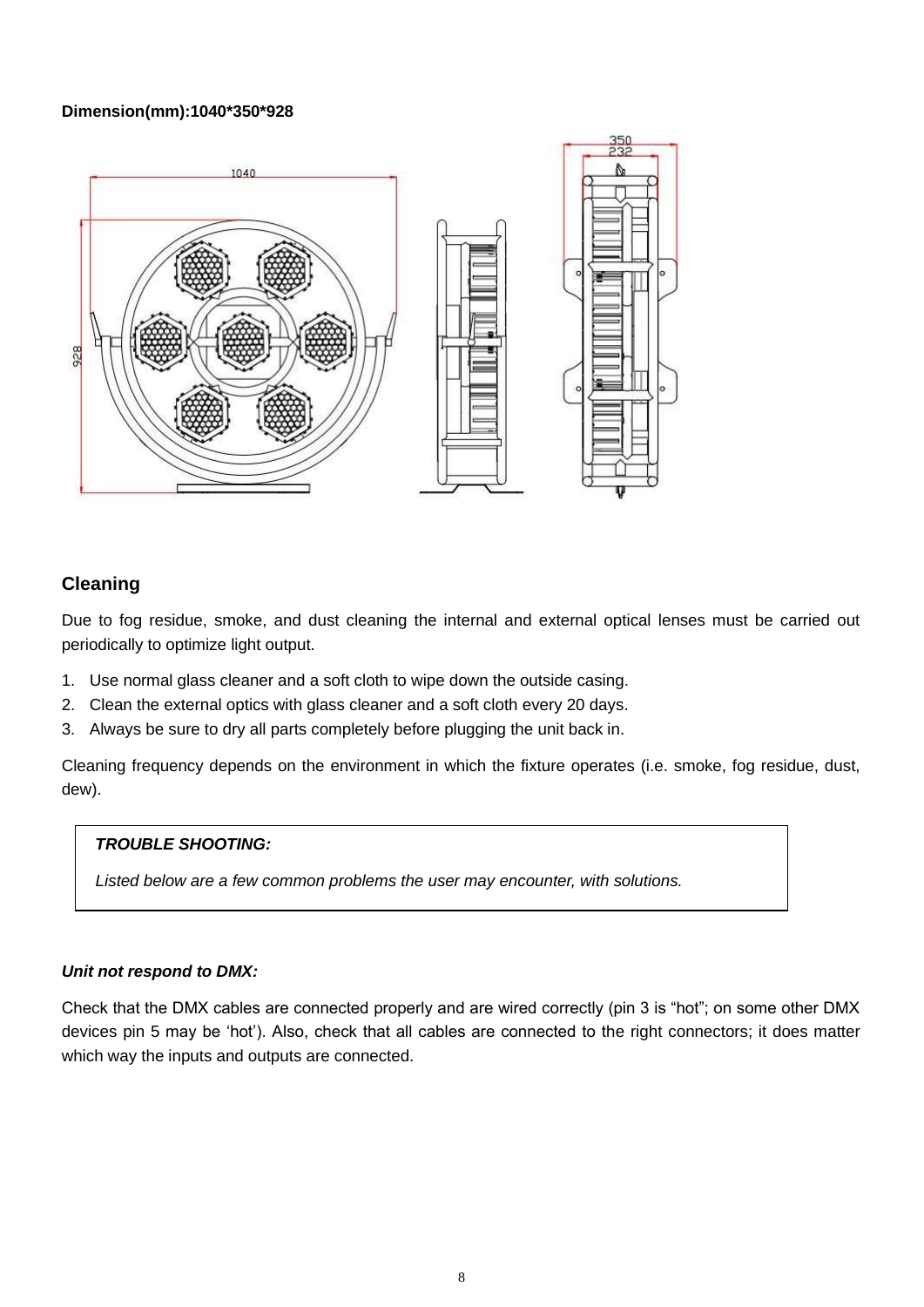#### **Dimension(mm):1040\*350\*928**



# **Cleaning**

Due to fog residue, smoke, and dust cleaning the internal and external optical lenses must be carried out periodically to optimize light output.

- 1. Use normal glass cleaner and a soft cloth to wipe down the outside casing.
- 2. Clean the external optics with glass cleaner and a soft cloth every 20 days.
- 3. Always be sure to dry all parts completely before plugging the unit back in.

Cleaning frequency depends on the environment in which the fixture operates (i.e. smoke, fog residue, dust, dew).

#### *TROUBLE SHOOTING:*

*Listed below are a few common problems the user may encounter, with solutions.*

#### *Unit not respond to DMX:*

Check that the DMX cables are connected properly and are wired correctly (pin 3 is "hot"; on some other DMX devices pin 5 may be 'hot'). Also, check that all cables are connected to the right connectors; it does matter which way the inputs and outputs are connected.